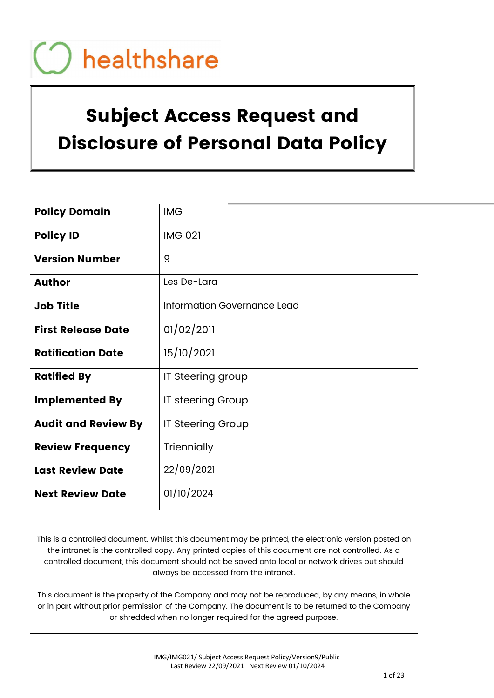# Subject Access Request and Disclosure of Personal Data Policy

| <b>Policy Domain</b>       | <b>IMG</b>                  |
|----------------------------|-----------------------------|
| <b>Policy ID</b>           | <b>IMG 021</b>              |
| <b>Version Number</b>      | 9                           |
| <b>Author</b>              | Les De-Lara                 |
| <b>Job Title</b>           | Information Governance Lead |
| <b>First Release Date</b>  | 01/02/2011                  |
| <b>Ratification Date</b>   | 15/10/2021                  |
| <b>Ratified By</b>         | IT Steering group           |
| <b>Implemented By</b>      | IT steering Group           |
| <b>Audit and Review By</b> | <b>IT Steering Group</b>    |
| <b>Review Frequency</b>    | Triennially                 |
| <b>Last Review Date</b>    | 22/09/2021                  |
| <b>Next Review Date</b>    | 01/10/2024                  |

This is a controlled document. Whilst this document may be printed, the electronic version posted on the intranet is the controlled copy. Any printed copies of this document are not controlled. As a controlled document, this document should not be saved onto local or network drives but should always be accessed from the intranet.

This document is the property of the Company and may not be reproduced, by any means, in whole or in part without prior permission of the Company. The document is to be returned to the Company or shredded when no longer required for the agreed purpose.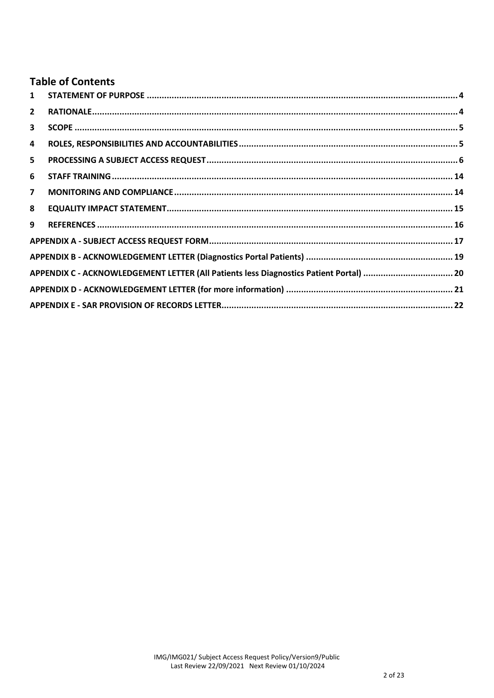# **Table of Contents**

| 1                       |  |
|-------------------------|--|
| $\overline{2}$          |  |
| 3                       |  |
| 4                       |  |
| 5                       |  |
| 6                       |  |
| $\overline{\mathbf{z}}$ |  |
| 8                       |  |
| 9                       |  |
|                         |  |
|                         |  |
|                         |  |
|                         |  |
|                         |  |
|                         |  |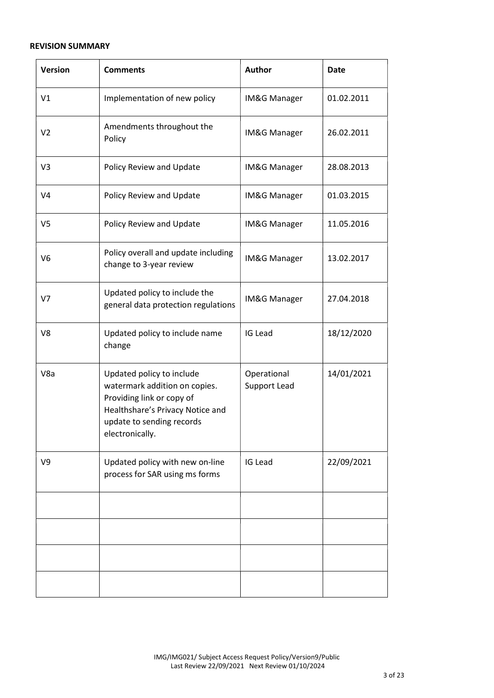#### REVISION SUMMARY

| <b>Version</b> | <b>Comments</b>                                                                                                                                                             | <b>Author</b>               | <b>Date</b> |
|----------------|-----------------------------------------------------------------------------------------------------------------------------------------------------------------------------|-----------------------------|-------------|
| V1             | Implementation of new policy                                                                                                                                                | IM&G Manager                | 01.02.2011  |
| V <sub>2</sub> | Amendments throughout the<br>Policy                                                                                                                                         | IM&G Manager                | 26.02.2011  |
| V <sub>3</sub> | Policy Review and Update                                                                                                                                                    | IM&G Manager                | 28.08.2013  |
| V <sub>4</sub> | Policy Review and Update                                                                                                                                                    | IM&G Manager                | 01.03.2015  |
| V <sub>5</sub> | Policy Review and Update                                                                                                                                                    | IM&G Manager                | 11.05.2016  |
| V <sub>6</sub> | Policy overall and update including<br>change to 3-year review                                                                                                              | <b>IM&amp;G Manager</b>     | 13.02.2017  |
| V <sub>7</sub> | Updated policy to include the<br>general data protection regulations                                                                                                        | IM&G Manager                | 27.04.2018  |
| V8             | Updated policy to include name<br>change                                                                                                                                    | IG Lead                     | 18/12/2020  |
| V8a            | Updated policy to include<br>watermark addition on copies.<br>Providing link or copy of<br>Healthshare's Privacy Notice and<br>update to sending records<br>electronically. | Operational<br>Support Lead | 14/01/2021  |
| V <sub>9</sub> | Updated policy with new on-line<br>process for SAR using ms forms                                                                                                           | IG Lead                     | 22/09/2021  |
|                |                                                                                                                                                                             |                             |             |
|                |                                                                                                                                                                             |                             |             |
|                |                                                                                                                                                                             |                             |             |
|                |                                                                                                                                                                             |                             |             |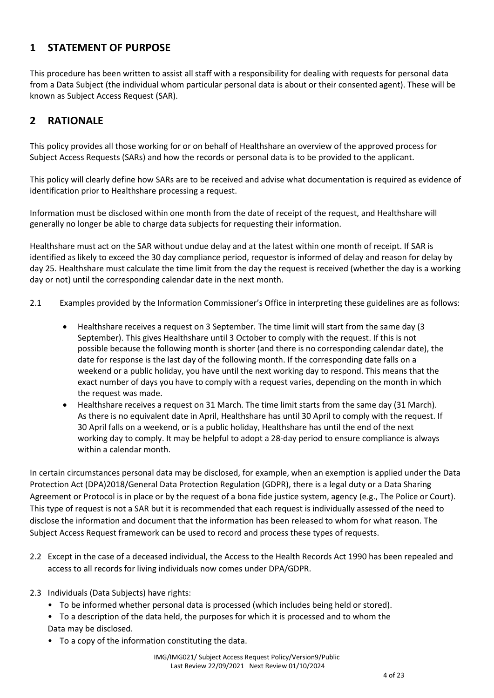## 1 STATEMENT OF PURPOSE

This procedure has been written to assist all staff with a responsibility for dealing with requests for personal data from a Data Subject (the individual whom particular personal data is about or their consented agent). These will be known as Subject Access Request (SAR).

# 2 RATIONALE

This policy provides all those working for or on behalf of Healthshare an overview of the approved process for Subject Access Requests (SARs) and how the records or personal data is to be provided to the applicant.

This policy will clearly define how SARs are to be received and advise what documentation is required as evidence of identification prior to Healthshare processing a request.

Information must be disclosed within one month from the date of receipt of the request, and Healthshare will generally no longer be able to charge data subjects for requesting their information.

Healthshare must act on the SAR without undue delay and at the latest within one month of receipt. If SAR is identified as likely to exceed the 30 day compliance period, requestor is informed of delay and reason for delay by day 25. Healthshare must calculate the time limit from the day the request is received (whether the day is a working day or not) until the corresponding calendar date in the next month.

- 2.1 Examples provided by the Information Commissioner's Office in interpreting these guidelines are as follows:
	- Healthshare receives a request on 3 September. The time limit will start from the same day (3 September). This gives Healthshare until 3 October to comply with the request. If this is not possible because the following month is shorter (and there is no corresponding calendar date), the date for response is the last day of the following month. If the corresponding date falls on a weekend or a public holiday, you have until the next working day to respond. This means that the exact number of days you have to comply with a request varies, depending on the month in which the request was made.
	- Healthshare receives a request on 31 March. The time limit starts from the same day (31 March). As there is no equivalent date in April, Healthshare has until 30 April to comply with the request. If 30 April falls on a weekend, or is a public holiday, Healthshare has until the end of the next working day to comply. It may be helpful to adopt a 28-day period to ensure compliance is always within a calendar month.

In certain circumstances personal data may be disclosed, for example, when an exemption is applied under the Data Protection Act (DPA)2018/General Data Protection Regulation (GDPR), there is a legal duty or a Data Sharing Agreement or Protocol is in place or by the request of a bona fide justice system, agency (e.g., The Police or Court). This type of request is not a SAR but it is recommended that each request is individually assessed of the need to disclose the information and document that the information has been released to whom for what reason. The Subject Access Request framework can be used to record and process these types of requests.

- 2.2 Except in the case of a deceased individual, the Access to the Health Records Act 1990 has been repealed and access to all records for living individuals now comes under DPA/GDPR.
- 2.3 Individuals (Data Subjects) have rights:
	- To be informed whether personal data is processed (which includes being held or stored).
	- To a description of the data held, the purposes for which it is processed and to whom the Data may be disclosed.
	- To a copy of the information constituting the data.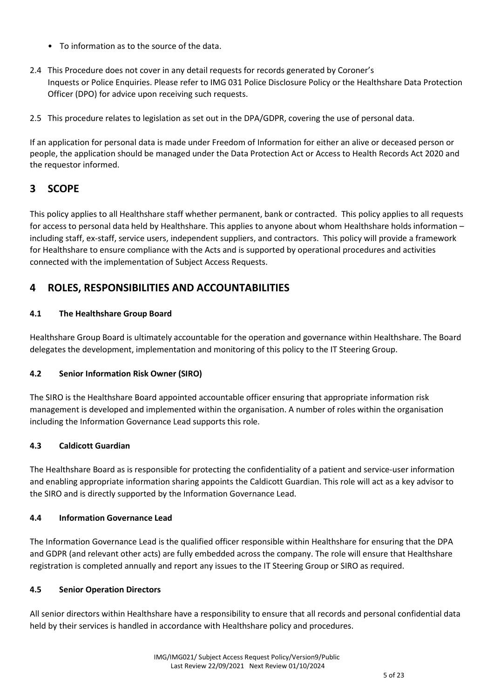- To information as to the source of the data.
- 2.4 This Procedure does not cover in any detail requests for records generated by Coroner's Inquests or Police Enquiries. Please refer to IMG 031 Police Disclosure Policy or the Healthshare Data Protection Officer (DPO) for advice upon receiving such requests.
- 2.5 This procedure relates to legislation as set out in the DPA/GDPR, covering the use of personal data.

If an application for personal data is made under Freedom of Information for either an alive or deceased person or people, the application should be managed under the Data Protection Act or Access to Health Records Act 2020 and the requestor informed.

## 3 SCOPE

This policy applies to all Healthshare staff whether permanent, bank or contracted. This policy applies to all requests for access to personal data held by Healthshare. This applies to anyone about whom Healthshare holds information – including staff, ex-staff, service users, independent suppliers, and contractors. This policy will provide a framework for Healthshare to ensure compliance with the Acts and is supported by operational procedures and activities connected with the implementation of Subject Access Requests.

## 4 ROLES, RESPONSIBILITIES AND ACCOUNTABILITIES

#### 4.1 The Healthshare Group Board

Healthshare Group Board is ultimately accountable for the operation and governance within Healthshare. The Board delegates the development, implementation and monitoring of this policy to the IT Steering Group.

## 4.2 Senior Information Risk Owner (SIRO)

The SIRO is the Healthshare Board appointed accountable officer ensuring that appropriate information risk management is developed and implemented within the organisation. A number of roles within the organisation including the Information Governance Lead supports this role.

#### 4.3 Caldicott Guardian

The Healthshare Board as is responsible for protecting the confidentiality of a patient and service-user information and enabling appropriate information sharing appoints the Caldicott Guardian. This role will act as a key advisor to the SIRO and is directly supported by the Information Governance Lead.

#### 4.4 Information Governance Lead

The Information Governance Lead is the qualified officer responsible within Healthshare for ensuring that the DPA and GDPR (and relevant other acts) are fully embedded across the company. The role will ensure that Healthshare registration is completed annually and report any issues to the IT Steering Group or SIRO as required.

#### 4.5 Senior Operation Directors

All senior directors within Healthshare have a responsibility to ensure that all records and personal confidential data held by their services is handled in accordance with Healthshare policy and procedures.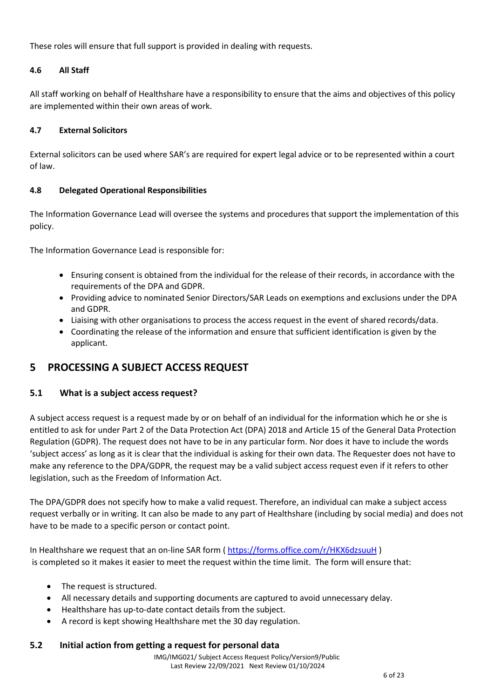These roles will ensure that full support is provided in dealing with requests.

#### 4.6 All Staff

All staff working on behalf of Healthshare have a responsibility to ensure that the aims and objectives of this policy are implemented within their own areas of work.

#### 4.7 External Solicitors

External solicitors can be used where SAR's are required for expert legal advice or to be represented within a court of law.

#### 4.8 Delegated Operational Responsibilities

The Information Governance Lead will oversee the systems and procedures that support the implementation of this policy.

The Information Governance Lead is responsible for:

- Ensuring consent is obtained from the individual for the release of their records, in accordance with the requirements of the DPA and GDPR.
- Providing advice to nominated Senior Directors/SAR Leads on exemptions and exclusions under the DPA and GDPR.
- Liaising with other organisations to process the access request in the event of shared records/data.
- Coordinating the release of the information and ensure that sufficient identification is given by the applicant.

## 5 PROCESSING A SUBJECT ACCESS REQUEST

#### 5.1 What is a subject access request?

A subject access request is a request made by or on behalf of an individual for the information which he or she is entitled to ask for under Part 2 of the Data Protection Act (DPA) 2018 and Article 15 of the General Data Protection Regulation (GDPR). The request does not have to be in any particular form. Nor does it have to include the words 'subject access' as long as it is clear that the individual is asking for their own data. The Requester does not have to make any reference to the DPA/GDPR, the request may be a valid subject access request even if it refers to other legislation, such as the Freedom of Information Act.

The DPA/GDPR does not specify how to make a valid request. Therefore, an individual can make a subject access request verbally or in writing. It can also be made to any part of Healthshare (including by social media) and does not have to be made to a specific person or contact point.

In Healthshare we request that an on-line SAR form (https://forms.office.com/r/HKX6dzsuuH) is completed so it makes it easier to meet the request within the time limit. The form will ensure that:

- The request is structured.
- All necessary details and supporting documents are captured to avoid unnecessary delay.
- Healthshare has up-to-date contact details from the subject.
- A record is kept showing Healthshare met the 30 day regulation.

#### 5.2 Initial action from getting a request for personal data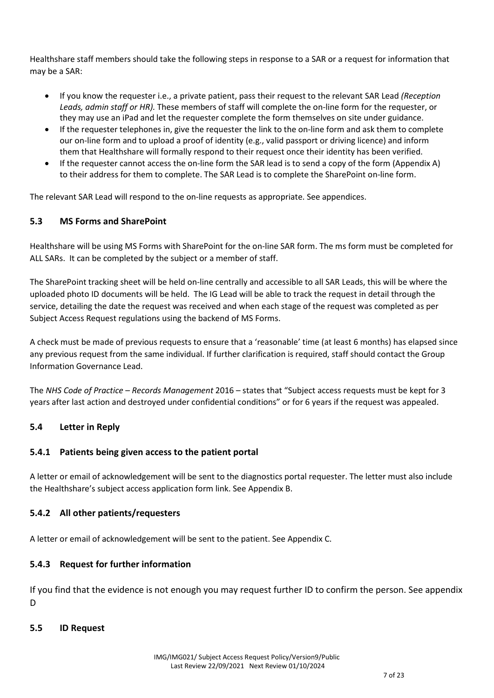Healthshare staff members should take the following steps in response to a SAR or a request for information that may be a SAR:

- If you know the requester i.e., a private patient, pass their request to the relevant SAR Lead (Reception Leads, admin staff or HR). These members of staff will complete the on-line form for the requester, or they may use an iPad and let the requester complete the form themselves on site under guidance.
- If the requester telephones in, give the requester the link to the on-line form and ask them to complete our on-line form and to upload a proof of identity (e.g., valid passport or driving licence) and inform them that Healthshare will formally respond to their request once their identity has been verified.
- If the requester cannot access the on-line form the SAR lead is to send a copy of the form (Appendix A) to their address for them to complete. The SAR Lead is to complete the SharePoint on-line form.

The relevant SAR Lead will respond to the on-line requests as appropriate. See appendices.

#### 5.3 MS Forms and SharePoint

Healthshare will be using MS Forms with SharePoint for the on-line SAR form. The ms form must be completed for ALL SARs. It can be completed by the subject or a member of staff.

The SharePoint tracking sheet will be held on-line centrally and accessible to all SAR Leads, this will be where the uploaded photo ID documents will be held. The IG Lead will be able to track the request in detail through the service, detailing the date the request was received and when each stage of the request was completed as per Subject Access Request regulations using the backend of MS Forms.

A check must be made of previous requests to ensure that a 'reasonable' time (at least 6 months) has elapsed since any previous request from the same individual. If further clarification is required, staff should contact the Group Information Governance Lead.

The NHS Code of Practice – Records Management 2016 – states that "Subject access requests must be kept for 3 years after last action and destroyed under confidential conditions" or for 6 years if the request was appealed.

## 5.4 Letter in Reply

#### 5.4.1 Patients being given access to the patient portal

A letter or email of acknowledgement will be sent to the diagnostics portal requester. The letter must also include the Healthshare's subject access application form link. See Appendix B.

#### 5.4.2 All other patients/requesters

A letter or email of acknowledgement will be sent to the patient. See Appendix C.

## 5.4.3 Request for further information

If you find that the evidence is not enough you may request further ID to confirm the person. See appendix D

#### 5.5 ID Request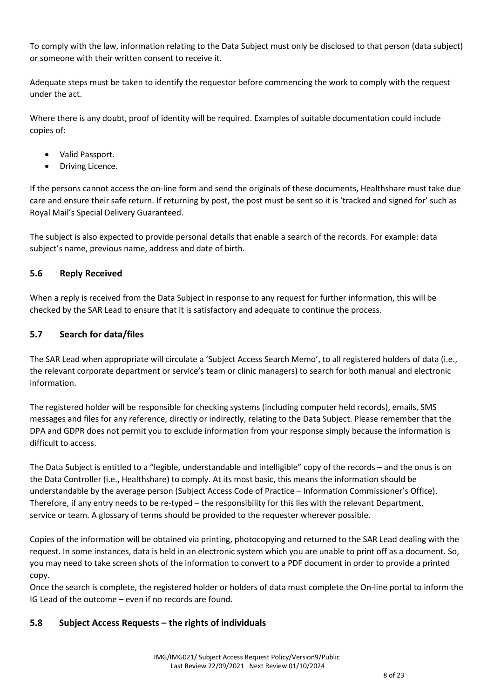To comply with the law, information relating to the Data Subject must only be disclosed to that person (data subject) or someone with their written consent to receive it.

Adequate steps must be taken to identify the requestor before commencing the work to comply with the request under the act.

Where there is any doubt, proof of identity will be required. Examples of suitable documentation could include copies of:

- Valid Passport.
- Driving Licence.

If the persons cannot access the on-line form and send the originals of these documents, Healthshare must take due care and ensure their safe return. If returning by post, the post must be sent so it is 'tracked and signed for' such as Royal Mail's Special Delivery Guaranteed.

The subject is also expected to provide personal details that enable a search of the records. For example: data subject's name, previous name, address and date of birth.

#### 5.6 Reply Received

When a reply is received from the Data Subject in response to any request for further information, this will be checked by the SAR Lead to ensure that it is satisfactory and adequate to continue the process.

#### 5.7 Search for data/files

The SAR Lead when appropriate will circulate a 'Subject Access Search Memo', to all registered holders of data (i.e., the relevant corporate department or service's team or clinic managers) to search for both manual and electronic information.

The registered holder will be responsible for checking systems (including computer held records), emails, SMS messages and files for any reference, directly or indirectly, relating to the Data Subject. Please remember that the DPA and GDPR does not permit you to exclude information from your response simply because the information is difficult to access.

The Data Subject is entitled to a "legible, understandable and intelligible" copy of the records – and the onus is on the Data Controller (i.e., Healthshare) to comply. At its most basic, this means the information should be understandable by the average person (Subject Access Code of Practice – Information Commissioner's Office). Therefore, if any entry needs to be re-typed – the responsibility for this lies with the relevant Department, service or team. A glossary of terms should be provided to the requester wherever possible.

Copies of the information will be obtained via printing, photocopying and returned to the SAR Lead dealing with the request. In some instances, data is held in an electronic system which you are unable to print off as a document. So, you may need to take screen shots of the information to convert to a PDF document in order to provide a printed copy.

Once the search is complete, the registered holder or holders of data must complete the On-line portal to inform the IG Lead of the outcome – even if no records are found.

## 5.8 Subject Access Requests – the rights of individuals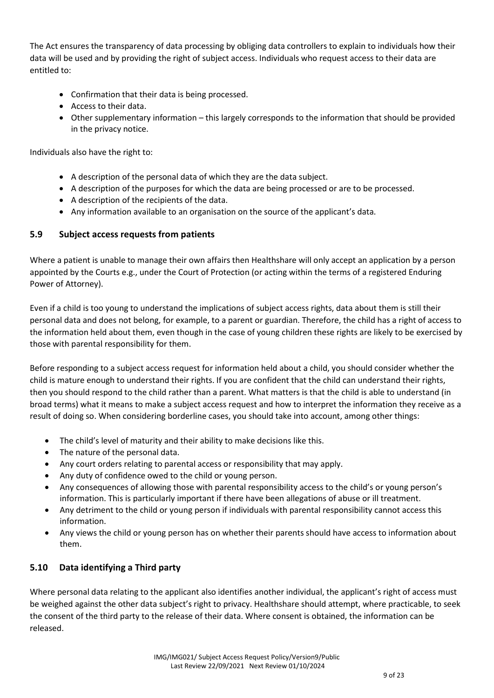The Act ensures the transparency of data processing by obliging data controllers to explain to individuals how their data will be used and by providing the right of subject access. Individuals who request access to their data are entitled to:

- Confirmation that their data is being processed.
- Access to their data.
- Other supplementary information this largely corresponds to the information that should be provided in the privacy notice.

Individuals also have the right to:

- A description of the personal data of which they are the data subject.
- A description of the purposes for which the data are being processed or are to be processed.
- A description of the recipients of the data.
- Any information available to an organisation on the source of the applicant's data.

#### 5.9 Subject access requests from patients

Where a patient is unable to manage their own affairs then Healthshare will only accept an application by a person appointed by the Courts e.g., under the Court of Protection (or acting within the terms of a registered Enduring Power of Attorney).

Even if a child is too young to understand the implications of subject access rights, data about them is still their personal data and does not belong, for example, to a parent or guardian. Therefore, the child has a right of access to the information held about them, even though in the case of young children these rights are likely to be exercised by those with parental responsibility for them.

Before responding to a subject access request for information held about a child, you should consider whether the child is mature enough to understand their rights. If you are confident that the child can understand their rights, then you should respond to the child rather than a parent. What matters is that the child is able to understand (in broad terms) what it means to make a subject access request and how to interpret the information they receive as a result of doing so. When considering borderline cases, you should take into account, among other things:

- The child's level of maturity and their ability to make decisions like this.
- The nature of the personal data.
- Any court orders relating to parental access or responsibility that may apply.
- Any duty of confidence owed to the child or young person.
- Any consequences of allowing those with parental responsibility access to the child's or young person's information. This is particularly important if there have been allegations of abuse or ill treatment.
- Any detriment to the child or young person if individuals with parental responsibility cannot access this information.
- Any views the child or young person has on whether their parents should have access to information about them.

## 5.10 Data identifying a Third party

Where personal data relating to the applicant also identifies another individual, the applicant's right of access must be weighed against the other data subject's right to privacy. Healthshare should attempt, where practicable, to seek the consent of the third party to the release of their data. Where consent is obtained, the information can be released.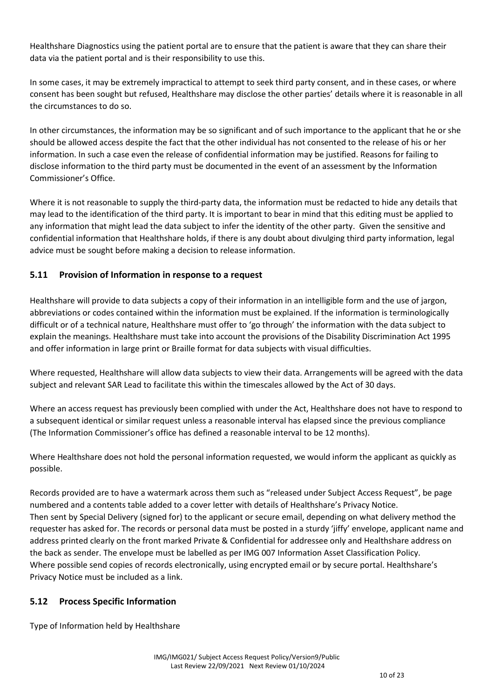Healthshare Diagnostics using the patient portal are to ensure that the patient is aware that they can share their data via the patient portal and is their responsibility to use this.

In some cases, it may be extremely impractical to attempt to seek third party consent, and in these cases, or where consent has been sought but refused, Healthshare may disclose the other parties' details where it is reasonable in all the circumstances to do so.

In other circumstances, the information may be so significant and of such importance to the applicant that he or she should be allowed access despite the fact that the other individual has not consented to the release of his or her information. In such a case even the release of confidential information may be justified. Reasons for failing to disclose information to the third party must be documented in the event of an assessment by the Information Commissioner's Office.

Where it is not reasonable to supply the third-party data, the information must be redacted to hide any details that may lead to the identification of the third party. It is important to bear in mind that this editing must be applied to any information that might lead the data subject to infer the identity of the other party. Given the sensitive and confidential information that Healthshare holds, if there is any doubt about divulging third party information, legal advice must be sought before making a decision to release information.

## 5.11 Provision of Information in response to a request

Healthshare will provide to data subjects a copy of their information in an intelligible form and the use of jargon, abbreviations or codes contained within the information must be explained. If the information is terminologically difficult or of a technical nature, Healthshare must offer to 'go through' the information with the data subject to explain the meanings. Healthshare must take into account the provisions of the Disability Discrimination Act 1995 and offer information in large print or Braille format for data subjects with visual difficulties.

Where requested, Healthshare will allow data subjects to view their data. Arrangements will be agreed with the data subject and relevant SAR Lead to facilitate this within the timescales allowed by the Act of 30 days.

Where an access request has previously been complied with under the Act, Healthshare does not have to respond to a subsequent identical or similar request unless a reasonable interval has elapsed since the previous compliance (The Information Commissioner's office has defined a reasonable interval to be 12 months).

Where Healthshare does not hold the personal information requested, we would inform the applicant as quickly as possible.

Records provided are to have a watermark across them such as "released under Subject Access Request", be page numbered and a contents table added to a cover letter with details of Healthshare's Privacy Notice. Then sent by Special Delivery (signed for) to the applicant or secure email, depending on what delivery method the requester has asked for. The records or personal data must be posted in a sturdy 'jiffy' envelope, applicant name and address printed clearly on the front marked Private & Confidential for addressee only and Healthshare address on the back as sender. The envelope must be labelled as per IMG 007 Information Asset Classification Policy. Where possible send copies of records electronically, using encrypted email or by secure portal. Healthshare's Privacy Notice must be included as a link.

## 5.12 Process Specific Information

Type of Information held by Healthshare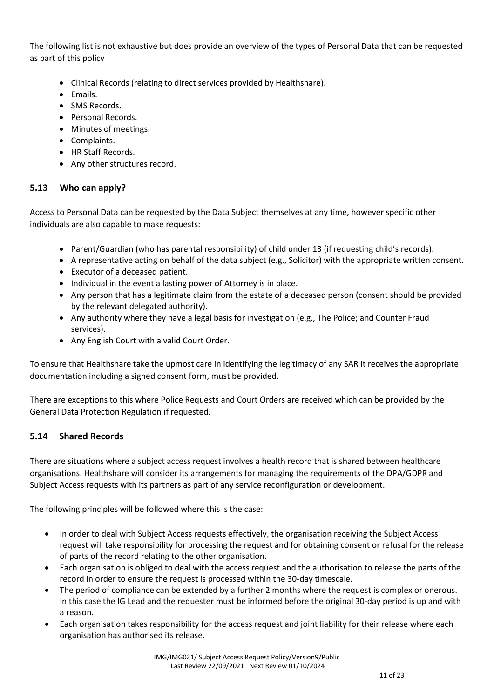The following list is not exhaustive but does provide an overview of the types of Personal Data that can be requested as part of this policy

- Clinical Records (relating to direct services provided by Healthshare).
- Emails.
- SMS Records.
- Personal Records.
- Minutes of meetings.
- Complaints.
- HR Staff Records.
- Any other structures record.

#### 5.13 Who can apply?

Access to Personal Data can be requested by the Data Subject themselves at any time, however specific other individuals are also capable to make requests:

- Parent/Guardian (who has parental responsibility) of child under 13 (if requesting child's records).
- A representative acting on behalf of the data subject (e.g., Solicitor) with the appropriate written consent.
- Executor of a deceased patient.
- Individual in the event a lasting power of Attorney is in place.
- Any person that has a legitimate claim from the estate of a deceased person (consent should be provided by the relevant delegated authority).
- Any authority where they have a legal basis for investigation (e.g., The Police; and Counter Fraud services).
- Any English Court with a valid Court Order.

To ensure that Healthshare take the upmost care in identifying the legitimacy of any SAR it receives the appropriate documentation including a signed consent form, must be provided.

There are exceptions to this where Police Requests and Court Orders are received which can be provided by the General Data Protection Regulation if requested.

## 5.14 Shared Records

There are situations where a subject access request involves a health record that is shared between healthcare organisations. Healthshare will consider its arrangements for managing the requirements of the DPA/GDPR and Subject Access requests with its partners as part of any service reconfiguration or development.

The following principles will be followed where this is the case:

- In order to deal with Subject Access requests effectively, the organisation receiving the Subject Access request will take responsibility for processing the request and for obtaining consent or refusal for the release of parts of the record relating to the other organisation.
- Each organisation is obliged to deal with the access request and the authorisation to release the parts of the record in order to ensure the request is processed within the 30-day timescale.
- The period of compliance can be extended by a further 2 months where the request is complex or onerous. In this case the IG Lead and the requester must be informed before the original 30-day period is up and with a reason.
- Each organisation takes responsibility for the access request and joint liability for their release where each organisation has authorised its release.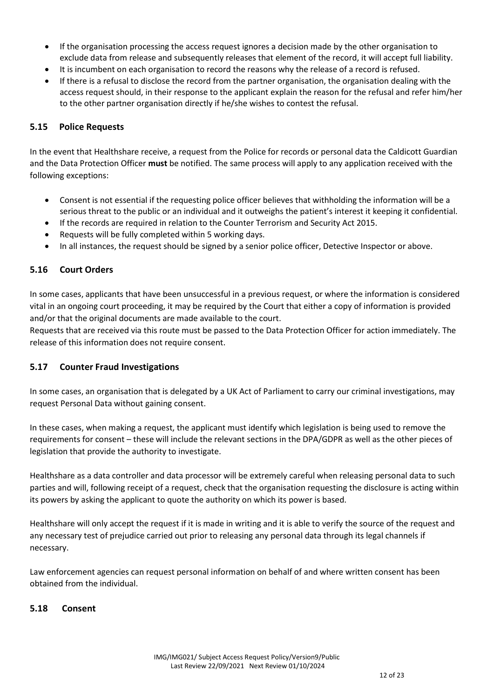- If the organisation processing the access request ignores a decision made by the other organisation to exclude data from release and subsequently releases that element of the record, it will accept full liability.
- It is incumbent on each organisation to record the reasons why the release of a record is refused.
- If there is a refusal to disclose the record from the partner organisation, the organisation dealing with the access request should, in their response to the applicant explain the reason for the refusal and refer him/her to the other partner organisation directly if he/she wishes to contest the refusal.

#### 5.15 Police Requests

In the event that Healthshare receive, a request from the Police for records or personal data the Caldicott Guardian and the Data Protection Officer must be notified. The same process will apply to any application received with the following exceptions:

- Consent is not essential if the requesting police officer believes that withholding the information will be a serious threat to the public or an individual and it outweighs the patient's interest it keeping it confidential.
- If the records are required in relation to the Counter Terrorism and Security Act 2015.
- Requests will be fully completed within 5 working days.
- In all instances, the request should be signed by a senior police officer, Detective Inspector or above.

#### 5.16 Court Orders

In some cases, applicants that have been unsuccessful in a previous request, or where the information is considered vital in an ongoing court proceeding, it may be required by the Court that either a copy of information is provided and/or that the original documents are made available to the court.

Requests that are received via this route must be passed to the Data Protection Officer for action immediately. The release of this information does not require consent.

#### 5.17 Counter Fraud Investigations

In some cases, an organisation that is delegated by a UK Act of Parliament to carry our criminal investigations, may request Personal Data without gaining consent.

In these cases, when making a request, the applicant must identify which legislation is being used to remove the requirements for consent – these will include the relevant sections in the DPA/GDPR as well as the other pieces of legislation that provide the authority to investigate.

Healthshare as a data controller and data processor will be extremely careful when releasing personal data to such parties and will, following receipt of a request, check that the organisation requesting the disclosure is acting within its powers by asking the applicant to quote the authority on which its power is based.

Healthshare will only accept the request if it is made in writing and it is able to verify the source of the request and any necessary test of prejudice carried out prior to releasing any personal data through its legal channels if necessary.

Law enforcement agencies can request personal information on behalf of and where written consent has been obtained from the individual.

#### 5.18 Consent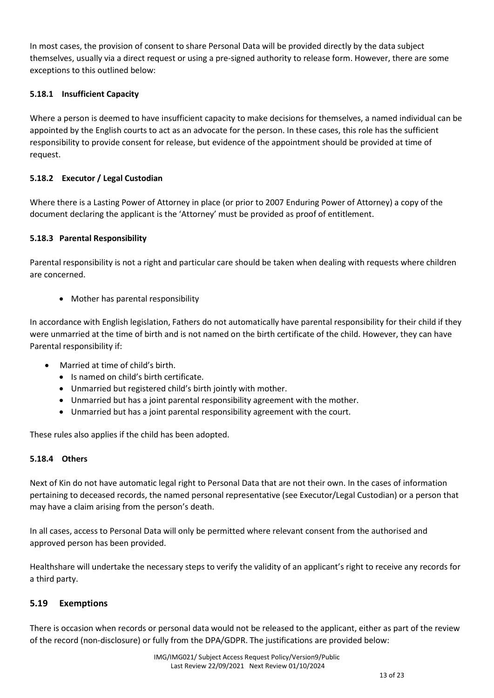In most cases, the provision of consent to share Personal Data will be provided directly by the data subject themselves, usually via a direct request or using a pre-signed authority to release form. However, there are some exceptions to this outlined below:

#### 5.18.1 Insufficient Capacity

Where a person is deemed to have insufficient capacity to make decisions for themselves, a named individual can be appointed by the English courts to act as an advocate for the person. In these cases, this role has the sufficient responsibility to provide consent for release, but evidence of the appointment should be provided at time of request.

#### 5.18.2 Executor / Legal Custodian

Where there is a Lasting Power of Attorney in place (or prior to 2007 Enduring Power of Attorney) a copy of the document declaring the applicant is the 'Attorney' must be provided as proof of entitlement.

#### 5.18.3 Parental Responsibility

Parental responsibility is not a right and particular care should be taken when dealing with requests where children are concerned.

• Mother has parental responsibility

In accordance with English legislation, Fathers do not automatically have parental responsibility for their child if they were unmarried at the time of birth and is not named on the birth certificate of the child. However, they can have Parental responsibility if:

- Married at time of child's birth.
	- Is named on child's birth certificate.
	- Unmarried but registered child's birth jointly with mother.
	- Unmarried but has a joint parental responsibility agreement with the mother.
	- Unmarried but has a joint parental responsibility agreement with the court.

These rules also applies if the child has been adopted.

#### 5.18.4 Others

Next of Kin do not have automatic legal right to Personal Data that are not their own. In the cases of information pertaining to deceased records, the named personal representative (see Executor/Legal Custodian) or a person that may have a claim arising from the person's death.

In all cases, access to Personal Data will only be permitted where relevant consent from the authorised and approved person has been provided.

Healthshare will undertake the necessary steps to verify the validity of an applicant's right to receive any records for a third party.

#### 5.19 Exemptions

There is occasion when records or personal data would not be released to the applicant, either as part of the review of the record (non-disclosure) or fully from the DPA/GDPR. The justifications are provided below: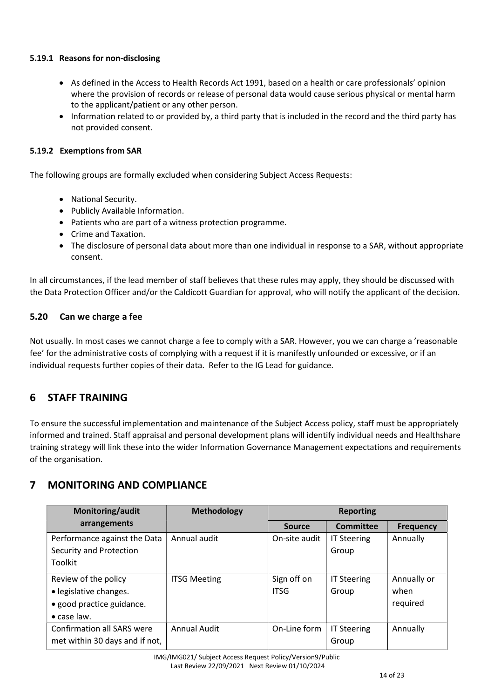#### 5.19.1 Reasons for non-disclosing

- As defined in the Access to Health Records Act 1991, based on a health or care professionals' opinion where the provision of records or release of personal data would cause serious physical or mental harm to the applicant/patient or any other person.
- Information related to or provided by, a third party that is included in the record and the third party has not provided consent.

#### 5.19.2 Exemptions from SAR

The following groups are formally excluded when considering Subject Access Requests:

- National Security.
- Publicly Available Information.
- Patients who are part of a witness protection programme.
- Crime and Taxation.
- The disclosure of personal data about more than one individual in response to a SAR, without appropriate consent.

In all circumstances, if the lead member of staff believes that these rules may apply, they should be discussed with the Data Protection Officer and/or the Caldicott Guardian for approval, who will notify the applicant of the decision.

#### 5.20 Can we charge a fee

Not usually. In most cases we cannot charge a fee to comply with a SAR. However, you we can charge a 'reasonable fee' for the administrative costs of complying with a request if it is manifestly unfounded or excessive, or if an individual requests further copies of their data. Refer to the IG Lead for guidance.

## 6 STAFF TRAINING

To ensure the successful implementation and maintenance of the Subject Access policy, staff must be appropriately informed and trained. Staff appraisal and personal development plans will identify individual needs and Healthshare training strategy will link these into the wider Information Governance Management expectations and requirements of the organisation.

## 7 MONITORING AND COMPLIANCE

| Monitoring/audit                                                                                   | <b>Methodology</b>  | <b>Reporting</b>           |                             |                                 |
|----------------------------------------------------------------------------------------------------|---------------------|----------------------------|-----------------------------|---------------------------------|
| arrangements                                                                                       |                     | <b>Source</b>              | Committee                   | <b>Frequency</b>                |
| Performance against the Data<br>Security and Protection<br>Toolkit                                 | Annual audit        | On-site audit              | <b>IT Steering</b><br>Group | Annually                        |
| Review of the policy<br>• legislative changes.<br>• good practice guidance.<br>$\bullet$ case law. | <b>ITSG Meeting</b> | Sign off on<br><b>ITSG</b> | <b>IT Steering</b><br>Group | Annually or<br>when<br>required |
| <b>Confirmation all SARS were</b><br>met within 30 days and if not,                                | <b>Annual Audit</b> | On-Line form               | <b>IT Steering</b><br>Group | Annually                        |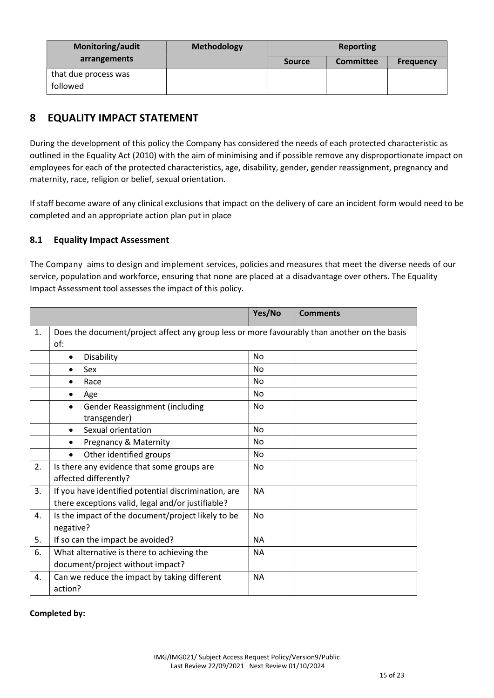| Monitoring/audit                 | <b>Methodology</b> | Reporting     |                  |                  |
|----------------------------------|--------------------|---------------|------------------|------------------|
| arrangements                     |                    | <b>Source</b> | <b>Committee</b> | <b>Frequency</b> |
| that due process was<br>followed |                    |               |                  |                  |

# 8 EQUALITY IMPACT STATEMENT

During the development of this policy the Company has considered the needs of each protected characteristic as outlined in the Equality Act (2010) with the aim of minimising and if possible remove any disproportionate impact on employees for each of the protected characteristics, age, disability, gender, gender reassignment, pregnancy and maternity, race, religion or belief, sexual orientation.

If staff become aware of any clinical exclusions that impact on the delivery of care an incident form would need to be completed and an appropriate action plan put in place

## 8.1 Equality Impact Assessment

The Company aims to design and implement services, policies and measures that meet the diverse needs of our service, population and workforce, ensuring that none are placed at a disadvantage over others. The Equality Impact Assessment tool assesses the impact of this policy.

|                |                                                                                                           | Yes/No    | <b>Comments</b> |
|----------------|-----------------------------------------------------------------------------------------------------------|-----------|-----------------|
| $\mathbf{1}$ . | Does the document/project affect any group less or more favourably than another on the basis<br>of:       |           |                 |
|                | Disability<br>$\bullet$                                                                                   | No        |                 |
|                | Sex<br>$\bullet$                                                                                          | <b>No</b> |                 |
|                | Race<br>$\bullet$                                                                                         | No        |                 |
|                | Age<br>$\bullet$                                                                                          | No        |                 |
|                | Gender Reassignment (including<br>transgender)                                                            | No        |                 |
|                | Sexual orientation<br>$\bullet$                                                                           | No.       |                 |
|                | Pregnancy & Maternity<br>$\bullet$                                                                        | No        |                 |
|                | Other identified groups<br>$\bullet$                                                                      | <b>No</b> |                 |
| 2.             | Is there any evidence that some groups are<br>affected differently?                                       | No        |                 |
| 3.             | If you have identified potential discrimination, are<br>there exceptions valid, legal and/or justifiable? | <b>NA</b> |                 |
| 4.             | Is the impact of the document/project likely to be<br>negative?                                           |           |                 |
| 5.             | If so can the impact be avoided?                                                                          |           |                 |
| 6.             | What alternative is there to achieving the                                                                | <b>NA</b> |                 |
|                | document/project without impact?                                                                          |           |                 |
| 4.             | Can we reduce the impact by taking different<br>action?                                                   | <b>NA</b> |                 |

#### Completed by: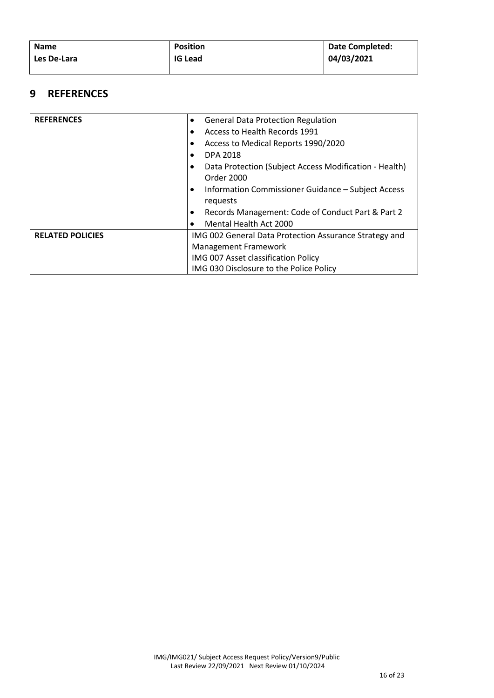| <b>Name</b> | <b>Position</b> | Date Completed: |
|-------------|-----------------|-----------------|
| Les De-Lara | <b>IG Lead</b>  | 04/03/2021      |
|             |                 |                 |

## 9 REFERENCES

| <b>REFERENCES</b>       | <b>General Data Protection Regulation</b><br>$\bullet$          |  |
|-------------------------|-----------------------------------------------------------------|--|
|                         | Access to Health Records 1991                                   |  |
|                         | Access to Medical Reports 1990/2020                             |  |
|                         | <b>DPA 2018</b>                                                 |  |
|                         | Data Protection (Subject Access Modification - Health)          |  |
|                         | Order 2000                                                      |  |
|                         | Information Commissioner Guidance - Subject Access<br>$\bullet$ |  |
|                         | requests                                                        |  |
|                         | Records Management: Code of Conduct Part & Part 2<br>٠          |  |
|                         | Mental Health Act 2000                                          |  |
| <b>RELATED POLICIES</b> | IMG 002 General Data Protection Assurance Strategy and          |  |
|                         | Management Framework                                            |  |
|                         | IMG 007 Asset classification Policy                             |  |
|                         | IMG 030 Disclosure to the Police Policy                         |  |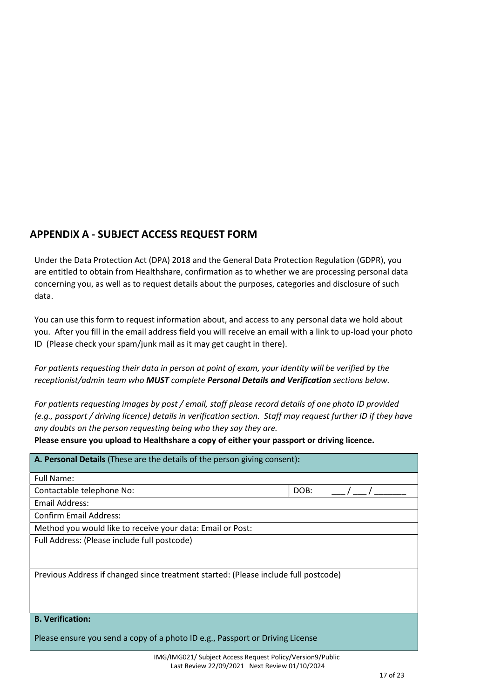# APPENDIX A - SUBJECT ACCESS REQUEST FORM

Under the Data Protection Act (DPA) 2018 and the General Data Protection Regulation (GDPR), you are entitled to obtain from Healthshare, confirmation as to whether we are processing personal data concerning you, as well as to request details about the purposes, categories and disclosure of such data.

You can use this form to request information about, and access to any personal data we hold about you. After you fill in the email address field you will receive an email with a link to up-load your photo ID (Please check your spam/junk mail as it may get caught in there).

For patients requesting their data in person at point of exam, your identity will be verified by the receptionist/admin team who MUST complete Personal Details and Verification sections below.

For patients requesting images by post / email, staff please record details of one photo ID provided (e.g., passport / driving licence) details in verification section. Staff may request further ID if they have any doubts on the person requesting being who they say they are.

Please ensure you upload to Healthshare a copy of either your passport or driving licence.

| A. Personal Details (These are the details of the person giving consent):           |      |  |  |
|-------------------------------------------------------------------------------------|------|--|--|
| Full Name:                                                                          |      |  |  |
| Contactable telephone No:                                                           | DOB: |  |  |
| Email Address:                                                                      |      |  |  |
| <b>Confirm Email Address:</b>                                                       |      |  |  |
| Method you would like to receive your data: Email or Post:                          |      |  |  |
| Full Address: (Please include full postcode)                                        |      |  |  |
| Previous Address if changed since treatment started: (Please include full postcode) |      |  |  |
| <b>B. Verification:</b>                                                             |      |  |  |
| Please ensure you send a copy of a photo ID e.g., Passport or Driving License       |      |  |  |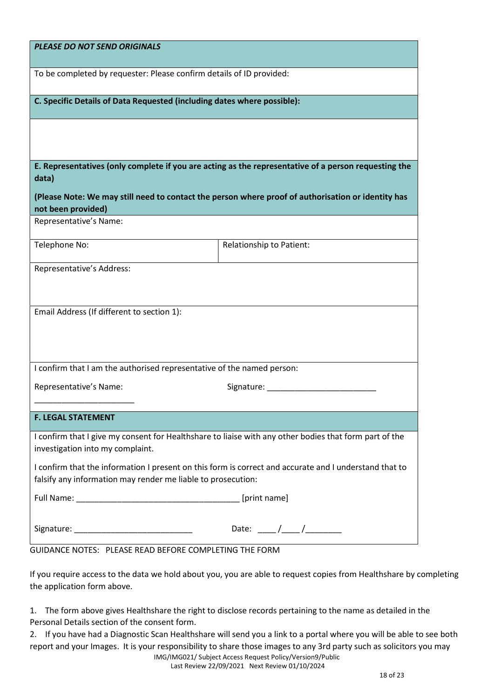| <b>PLEASE DO NOT SEND ORIGINALS</b>                                     |                                                                                                                                                                                                                                                                                                                                                                                                                          |
|-------------------------------------------------------------------------|--------------------------------------------------------------------------------------------------------------------------------------------------------------------------------------------------------------------------------------------------------------------------------------------------------------------------------------------------------------------------------------------------------------------------|
| To be completed by requester: Please confirm details of ID provided:    |                                                                                                                                                                                                                                                                                                                                                                                                                          |
| C. Specific Details of Data Requested (including dates where possible): |                                                                                                                                                                                                                                                                                                                                                                                                                          |
|                                                                         |                                                                                                                                                                                                                                                                                                                                                                                                                          |
|                                                                         |                                                                                                                                                                                                                                                                                                                                                                                                                          |
|                                                                         | E. Representatives (only complete if you are acting as the representative of a person requesting the                                                                                                                                                                                                                                                                                                                     |
| data)                                                                   |                                                                                                                                                                                                                                                                                                                                                                                                                          |
| not been provided)                                                      | (Please Note: We may still need to contact the person where proof of authorisation or identity has                                                                                                                                                                                                                                                                                                                       |
| Representative's Name:                                                  |                                                                                                                                                                                                                                                                                                                                                                                                                          |
| Telephone No:                                                           | Relationship to Patient:                                                                                                                                                                                                                                                                                                                                                                                                 |
| Representative's Address:                                               |                                                                                                                                                                                                                                                                                                                                                                                                                          |
|                                                                         |                                                                                                                                                                                                                                                                                                                                                                                                                          |
| Email Address (If different to section 1):                              |                                                                                                                                                                                                                                                                                                                                                                                                                          |
|                                                                         |                                                                                                                                                                                                                                                                                                                                                                                                                          |
|                                                                         |                                                                                                                                                                                                                                                                                                                                                                                                                          |
| I confirm that I am the authorised representative of the named person:  |                                                                                                                                                                                                                                                                                                                                                                                                                          |
| Representative's Name:                                                  | Signature:                                                                                                                                                                                                                                                                                                                                                                                                               |
| <b>F. LEGAL STATEMENT</b>                                               |                                                                                                                                                                                                                                                                                                                                                                                                                          |
| investigation into my complaint.                                        | I confirm that I give my consent for Healthshare to liaise with any other bodies that form part of the                                                                                                                                                                                                                                                                                                                   |
| falsify any information may render me liable to prosecution:            | I confirm that the information I present on this form is correct and accurate and I understand that to                                                                                                                                                                                                                                                                                                                   |
|                                                                         | [print name]                                                                                                                                                                                                                                                                                                                                                                                                             |
|                                                                         | Date: $\frac{1}{\sqrt{1-\frac{1}{2}}}\frac{1}{\sqrt{1-\frac{1}{2}}}\frac{1}{\sqrt{1-\frac{1}{2}}}\frac{1}{\sqrt{1-\frac{1}{2}}}\frac{1}{\sqrt{1-\frac{1}{2}}}\frac{1}{\sqrt{1-\frac{1}{2}}}\frac{1}{\sqrt{1-\frac{1}{2}}}\frac{1}{\sqrt{1-\frac{1}{2}}}\frac{1}{\sqrt{1-\frac{1}{2}}}\frac{1}{\sqrt{1-\frac{1}{2}}}\frac{1}{\sqrt{1-\frac{1}{2}}}\frac{1}{\sqrt{1-\frac{1}{2}}}\frac{1}{\sqrt{1-\frac{1}{2}}}\frac{1}{\$ |
| GUIDANCE NOTES: PLEASE READ BEFORE COMPLETING THE FORM                  |                                                                                                                                                                                                                                                                                                                                                                                                                          |

If you require access to the data we hold about you, you are able to request copies from Healthshare by completing the application form above.

1. The form above gives Healthshare the right to disclose records pertaining to the name as detailed in the Personal Details section of the consent form.

2. If you have had a Diagnostic Scan Healthshare will send you a link to a portal where you will be able to see both report and your Images. It is your responsibility to share those images to any 3rd party such as solicitors you may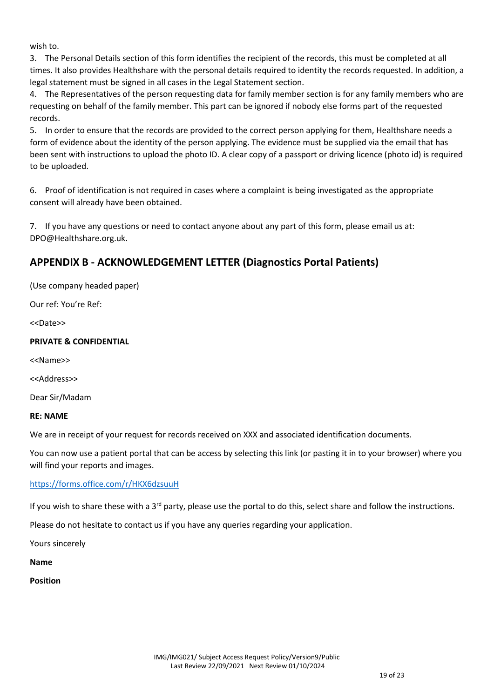wish to.

3. The Personal Details section of this form identifies the recipient of the records, this must be completed at all times. It also provides Healthshare with the personal details required to identity the records requested. In addition, a legal statement must be signed in all cases in the Legal Statement section.

4. The Representatives of the person requesting data for family member section is for any family members who are requesting on behalf of the family member. This part can be ignored if nobody else forms part of the requested records.

5. In order to ensure that the records are provided to the correct person applying for them, Healthshare needs a form of evidence about the identity of the person applying. The evidence must be supplied via the email that has been sent with instructions to upload the photo ID. A clear copy of a passport or driving licence (photo id) is required to be uploaded.

6. Proof of identification is not required in cases where a complaint is being investigated as the appropriate consent will already have been obtained.

7. If you have any questions or need to contact anyone about any part of this form, please email us at: DPO@Healthshare.org.uk.

# APPENDIX B - ACKNOWLEDGEMENT LETTER (Diagnostics Portal Patients)

(Use company headed paper)

Our ref: You're Ref:

<<Date>>

#### PRIVATE & CONFIDENTIAL

<<Name>>

<<Address>>

Dear Sir/Madam

#### RE: NAME

We are in receipt of your request for records received on XXX and associated identification documents.

You can now use a patient portal that can be access by selecting this link (or pasting it in to your browser) where you will find your reports and images.

#### https://forms.office.com/r/HKX6dzsuuH

If you wish to share these with a  $3^{rd}$  party, please use the portal to do this, select share and follow the instructions.

Please do not hesitate to contact us if you have any queries regarding your application.

Yours sincerely

Name

Position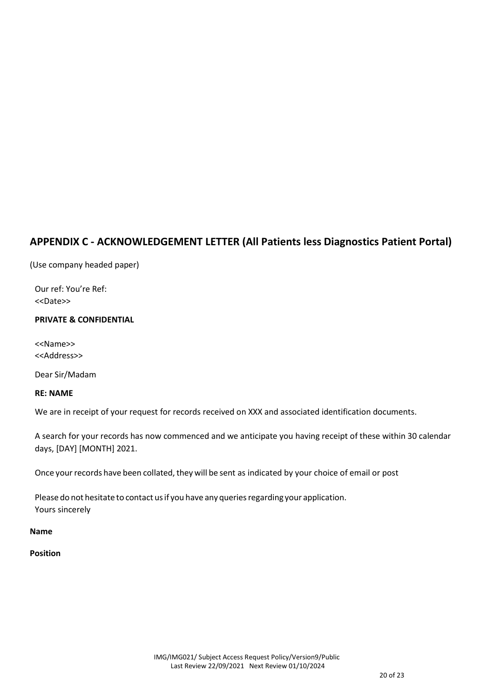# APPENDIX C - ACKNOWLEDGEMENT LETTER (All Patients less Diagnostics Patient Portal)

(Use company headed paper)

Our ref: You're Ref: <<Date>>

## PRIVATE & CONFIDENTIAL

<<Name>> <<Address>>

Dear Sir/Madam

## RE: NAME

We are in receipt of your request for records received on XXX and associated identification documents.

A search for your records has now commenced and we anticipate you having receipt of these within 30 calendar days, [DAY] [MONTH] 2021.

Once your records have been collated, they will be sent as indicated by your choice of email or post

Please do not hesitate to contact us if you have any queries regarding your application. Yours sincerely

#### Name

## Position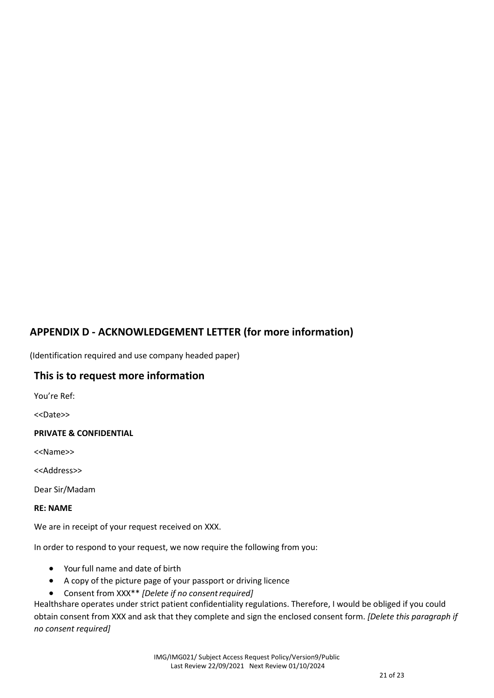# APPENDIX D - ACKNOWLEDGEMENT LETTER (for more information)

(Identification required and use company headed paper)

## This is to request more information

You're Ref:

<<Date>>

#### PRIVATE & CONFIDENTIAL

<<Name>>

<<Address>>

Dear Sir/Madam

#### RE: NAME

We are in receipt of your request received on XXX.

In order to respond to your request, we now require the following from you:

- Your full name and date of birth
- A copy of the picture page of your passport or driving licence
- Consent from XXX\*\* [Delete if no consent required]

Healthshare operates under strict patient confidentiality regulations. Therefore, I would be obliged if you could obtain consent from XXX and ask that they complete and sign the enclosed consent form. [Delete this paragraph if no consent required]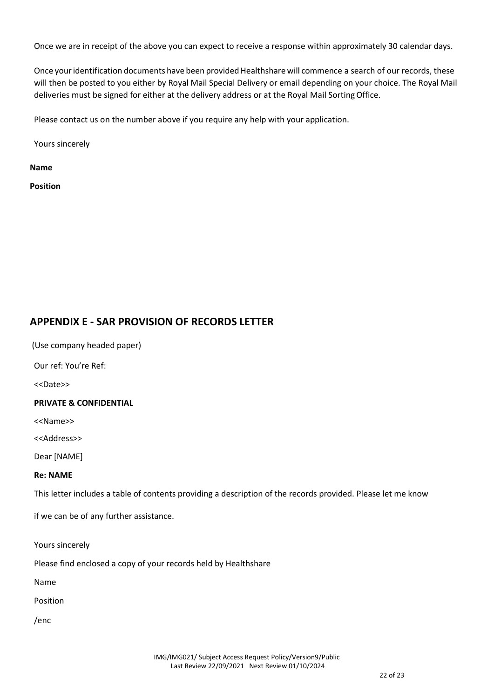Once we are in receipt of the above you can expect to receive a response within approximately 30 calendar days.

Once your identification documents have been provided Healthshare will commence a search of our records, these will then be posted to you either by Royal Mail Special Delivery or email depending on your choice. The Royal Mail deliveries must be signed for either at the delivery address or at the Royal Mail Sorting Office.

Please contact us on the number above if you require any help with your application.

Yours sincerely

Name

Position

## APPENDIX E - SAR PROVISION OF RECORDS LETTER

(Use company headed paper)

Our ref: You're Ref:

<<Date>>

#### PRIVATE & CONFIDENTIAL

<<Name>>

<<Address>>

Dear [NAME]

#### Re: NAME

This letter includes a table of contents providing a description of the records provided. Please let me know

if we can be of any further assistance.

Yours sincerely

Please find enclosed a copy of your records held by Healthshare

Name

Position

/enc